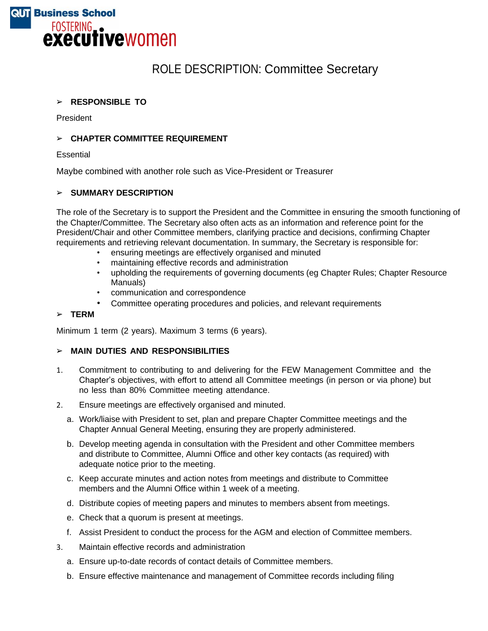

# ROLE DESCRIPTION: Committee Secretary

### ➢ **RESPONSIBLE TO**

President

### ➢ **CHAPTER COMMITTEE REQUIREMENT**

**Essential** 

Maybe combined with another role such as Vice-President or Treasurer

### ➢ **SUMMARY DESCRIPTION**

The role of the Secretary is to support the President and the Committee in ensuring the smooth functioning of the Chapter/Committee. The Secretary also often acts as an information and reference point for the President/Chair and other Committee members, clarifying practice and decisions, confirming Chapter requirements and retrieving relevant documentation. In summary, the Secretary is responsible for:

- ensuring meetings are effectively organised and minuted
- maintaining effective records and administration
- upholding the requirements of governing documents (eg Chapter Rules; Chapter Resource Manuals)
- communication and correspondence
- Committee operating procedures and policies, and relevant requirements

#### ➢ **TERM**

Minimum 1 term (2 years). Maximum 3 terms (6 years).

# ➢ **MAIN DUTIES AND RESPONSIBILITIES**

- 1. Commitment to contributing to and delivering for the FEW Management Committee and the Chapter's objectives, with effort to attend all Committee meetings (in person or via phone) but no less than 80% Committee meeting attendance.
- 2. Ensure meetings are effectively organised and minuted.
	- a. Work/liaise with President to set, plan and prepare Chapter Committee meetings and the Chapter Annual General Meeting, ensuring they are properly administered.
	- b. Develop meeting agenda in consultation with the President and other Committee members and distribute to Committee, Alumni Office and other key contacts (as required) with adequate notice prior to the meeting.
	- c. Keep accurate minutes and action notes from meetings and distribute to Committee members and the Alumni Office within 1 week of a meeting.
	- d. Distribute copies of meeting papers and minutes to members absent from meetings.
	- e. Check that a quorum is present at meetings.
	- f. Assist President to conduct the process for the AGM and election of Committee members.
- 3. Maintain effective records and administration
	- a. Ensure up-to-date records of contact details of Committee members.
	- b. Ensure effective maintenance and management of Committee records including filing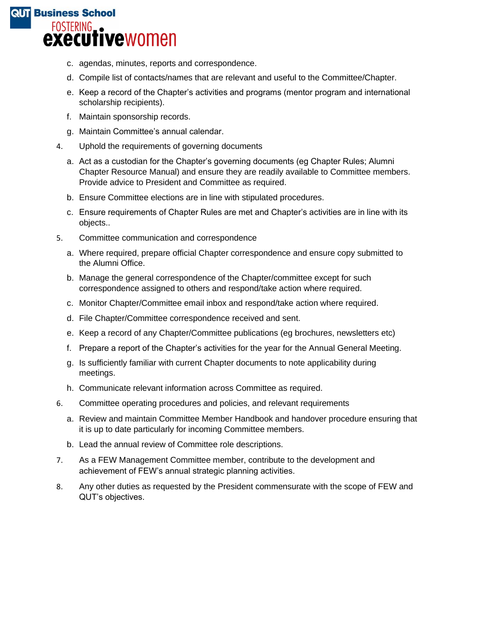# **QUT Business School** FOSTERING<br> **EXECUTIVE** WOMEN

- c. agendas, minutes, reports and correspondence.
- d. Compile list of contacts/names that are relevant and useful to the Committee/Chapter.
- e. Keep a record of the Chapter's activities and programs (mentor program and international scholarship recipients).
- f. Maintain sponsorship records.
- g. Maintain Committee's annual calendar.
- 4. Uphold the requirements of governing documents
	- a. Act as a custodian for the Chapter's governing documents (eg Chapter Rules; Alumni Chapter Resource Manual) and ensure they are readily available to Committee members. Provide advice to President and Committee as required.
	- b. Ensure Committee elections are in line with stipulated procedures.
	- c. Ensure requirements of Chapter Rules are met and Chapter's activities are in line with its objects..
- 5. Committee communication and correspondence
	- a. Where required, prepare official Chapter correspondence and ensure copy submitted to the Alumni Office.
	- b. Manage the general correspondence of the Chapter/committee except for such correspondence assigned to others and respond/take action where required.
	- c. Monitor Chapter/Committee email inbox and respond/take action where required.
	- d. File Chapter/Committee correspondence received and sent.
	- e. Keep a record of any Chapter/Committee publications (eg brochures, newsletters etc)
	- f. Prepare a report of the Chapter's activities for the year for the Annual General Meeting.
	- g. Is sufficiently familiar with current Chapter documents to note applicability during meetings.
	- h. Communicate relevant information across Committee as required.
- 6. Committee operating procedures and policies, and relevant requirements
	- a. Review and maintain Committee Member Handbook and handover procedure ensuring that it is up to date particularly for incoming Committee members.
	- b. Lead the annual review of Committee role descriptions.
- 7. As a FEW Management Committee member, contribute to the development and achievement of FEW's annual strategic planning activities.
- 8. Any other duties as requested by the President commensurate with the scope of FEW and QUT's objectives.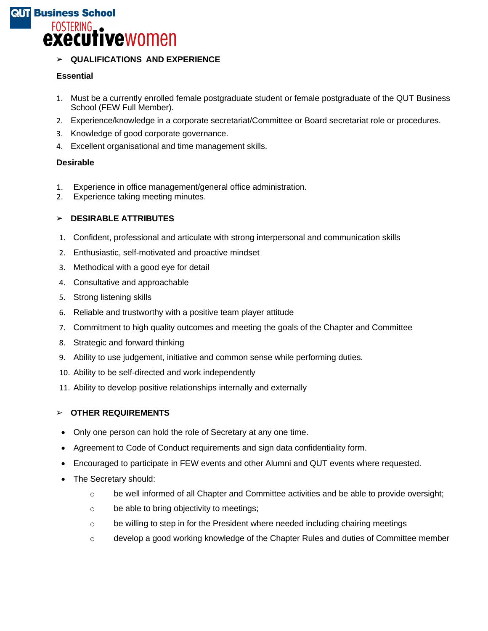# **QUT Business School** FOSTERING<br> **executive** women

# ➢ **QUALIFICATIONS AND EXPERIENCE**

# **Essential**

- 1. Must be a currently enrolled female postgraduate student or female postgraduate of the QUT Business School (FEW Full Member).
- 2. Experience/knowledge in a corporate secretariat/Committee or Board secretariat role or procedures.
- 3. Knowledge of good corporate governance.
- 4. Excellent organisational and time management skills.

# **Desirable**

- 1. Experience in office management/general office administration.
- 2. Experience taking meeting minutes.

# ➢ **DESIRABLE ATTRIBUTES**

- 1. Confident, professional and articulate with strong interpersonal and communication skills
- 2. Enthusiastic, self-motivated and proactive mindset
- 3. Methodical with a good eye for detail
- 4. Consultative and approachable
- 5. Strong listening skills
- 6. Reliable and trustworthy with a positive team player attitude
- 7. Commitment to high quality outcomes and meeting the goals of the Chapter and Committee
- 8. Strategic and forward thinking
- 9. Ability to use judgement, initiative and common sense while performing duties.
- 10. Ability to be self-directed and work independently
- 11. Ability to develop positive relationships internally and externally

### ➢ **OTHER REQUIREMENTS**

- Only one person can hold the role of Secretary at any one time.
- Agreement to Code of Conduct requirements and sign data confidentiality form.
- Encouraged to participate in FEW events and other Alumni and QUT events where requested.
- The Secretary should:
	- $\circ$  be well informed of all Chapter and Committee activities and be able to provide oversight;
	- o be able to bring objectivity to meetings;
	- $\circ$  be willing to step in for the President where needed including chairing meetings
	- o develop a good working knowledge of the Chapter Rules and duties of Committee member